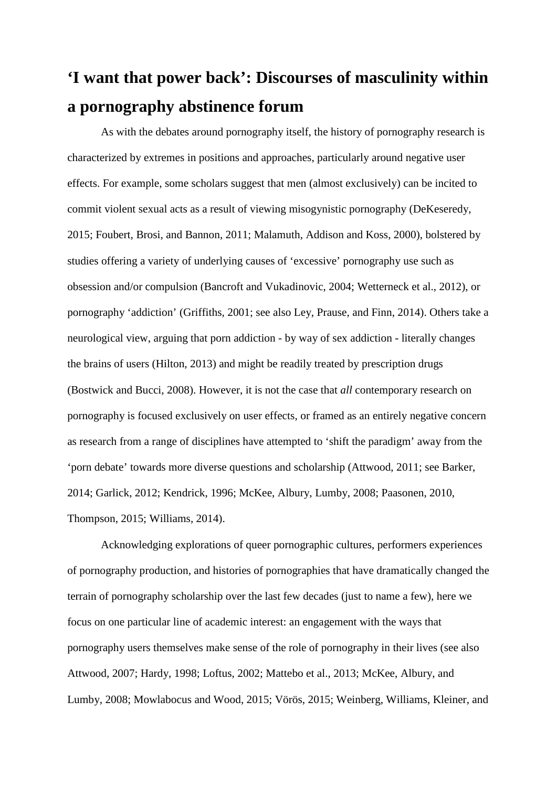# **'I want that power back': Discourses of masculinity within a pornography abstinence forum**

As with the debates around pornography itself, the history of pornography research is characterized by extremes in positions and approaches, particularly around negative user effects. For example, some scholars suggest that men (almost exclusively) can be incited to commit violent sexual acts as a result of viewing misogynistic pornography (DeKeseredy, 2015; Foubert, Brosi, and Bannon, 2011; Malamuth, Addison and Koss, 2000), bolstered by studies offering a variety of underlying causes of 'excessive' pornography use such as obsession and/or compulsion (Bancroft and Vukadinovic, 2004; Wetterneck et al., 2012), or pornography 'addiction' (Griffiths, 2001; see also Ley, Prause, and Finn, 2014). Others take a neurological view, arguing that porn addiction - by way of sex addiction - literally changes the brains of users (Hilton, 2013) and might be readily treated by prescription drugs (Bostwick and Bucci, 2008). However, it is not the case that *all* contemporary research on pornography is focused exclusively on user effects, or framed as an entirely negative concern as research from a range of disciplines have attempted to 'shift the paradigm' away from the 'porn debate' towards more diverse questions and scholarship (Attwood, 2011; see Barker, 2014; Garlick, 2012; Kendrick, 1996; McKee, Albury, Lumby, 2008; Paasonen, 2010, Thompson, 2015; Williams, 2014).

Acknowledging explorations of queer pornographic cultures, performers experiences of pornography production, and histories of pornographies that have dramatically changed the terrain of pornography scholarship over the last few decades (just to name a few), here we focus on one particular line of academic interest: an engagement with the ways that pornography users themselves make sense of the role of pornography in their lives (see also Attwood, 2007; Hardy, 1998; Loftus, 2002; Mattebo et al., 2013; McKee, Albury, and Lumby, 2008; Mowlabocus and Wood, 2015; Vörös, 2015; Weinberg, Williams, Kleiner, and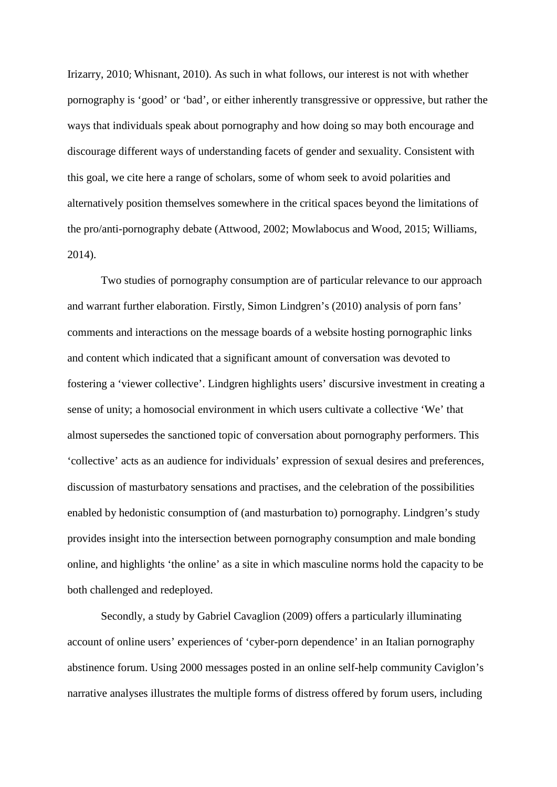Irizarry, 2010; Whisnant, 2010). As such in what follows, our interest is not with whether pornography is 'good' or 'bad', or either inherently transgressive or oppressive, but rather the ways that individuals speak about pornography and how doing so may both encourage and discourage different ways of understanding facets of gender and sexuality. Consistent with this goal, we cite here a range of scholars, some of whom seek to avoid polarities and alternatively position themselves somewhere in the critical spaces beyond the limitations of the pro/anti-pornography debate (Attwood, 2002; Mowlabocus and Wood, 2015; Williams, 2014).

Two studies of pornography consumption are of particular relevance to our approach and warrant further elaboration. Firstly, Simon Lindgren's (2010) analysis of porn fans' comments and interactions on the message boards of a website hosting pornographic links and content which indicated that a significant amount of conversation was devoted to fostering a 'viewer collective'. Lindgren highlights users' discursive investment in creating a sense of unity; a homosocial environment in which users cultivate a collective 'We' that almost supersedes the sanctioned topic of conversation about pornography performers. This 'collective' acts as an audience for individuals' expression of sexual desires and preferences, discussion of masturbatory sensations and practises, and the celebration of the possibilities enabled by hedonistic consumption of (and masturbation to) pornography. Lindgren's study provides insight into the intersection between pornography consumption and male bonding online, and highlights 'the online' as a site in which masculine norms hold the capacity to be both challenged and redeployed.

Secondly, a study by Gabriel Cavaglion (2009) offers a particularly illuminating account of online users' experiences of 'cyber-porn dependence' in an Italian pornography abstinence forum. Using 2000 messages posted in an online self-help community Caviglon's narrative analyses illustrates the multiple forms of distress offered by forum users, including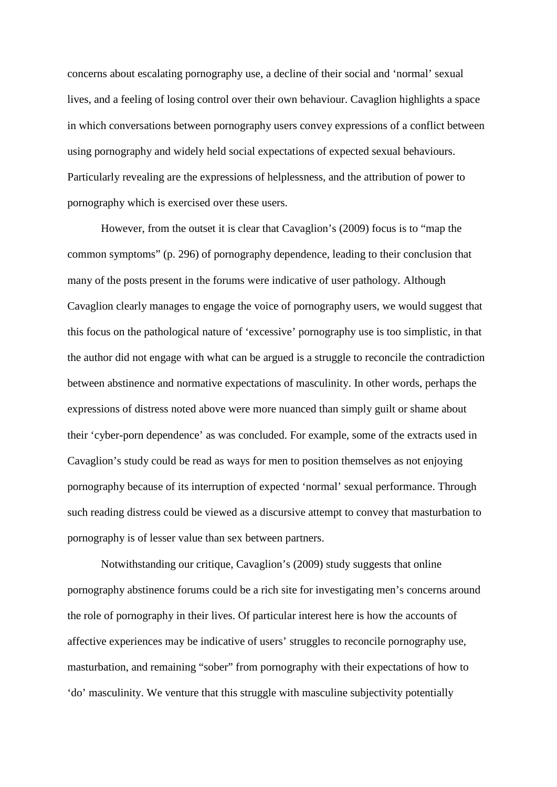concerns about escalating pornography use, a decline of their social and 'normal' sexual lives, and a feeling of losing control over their own behaviour. Cavaglion highlights a space in which conversations between pornography users convey expressions of a conflict between using pornography and widely held social expectations of expected sexual behaviours. Particularly revealing are the expressions of helplessness, and the attribution of power to pornography which is exercised over these users.

However, from the outset it is clear that Cavaglion's (2009) focus is to "map the common symptoms" (p. 296) of pornography dependence, leading to their conclusion that many of the posts present in the forums were indicative of user pathology. Although Cavaglion clearly manages to engage the voice of pornography users, we would suggest that this focus on the pathological nature of 'excessive' pornography use is too simplistic, in that the author did not engage with what can be argued is a struggle to reconcile the contradiction between abstinence and normative expectations of masculinity. In other words, perhaps the expressions of distress noted above were more nuanced than simply guilt or shame about their 'cyber-porn dependence' as was concluded. For example, some of the extracts used in Cavaglion's study could be read as ways for men to position themselves as not enjoying pornography because of its interruption of expected 'normal' sexual performance. Through such reading distress could be viewed as a discursive attempt to convey that masturbation to pornography is of lesser value than sex between partners.

<span id="page-2-4"></span><span id="page-2-3"></span><span id="page-2-2"></span><span id="page-2-1"></span><span id="page-2-0"></span>Notwithstanding our critique, Cavaglion's (2009) study suggests that online pornography abstinence forums could be a rich site for investigating men's concerns around the role of pornography in their lives. Of particular interest here is how the accounts of affective experiences may be indicative of users' struggles to reconcile pornography use, masturbation, and remaining "sober" from pornography with their expectations of how to 'do' masculinity. We venture that this struggle with masculine subjectivity potentially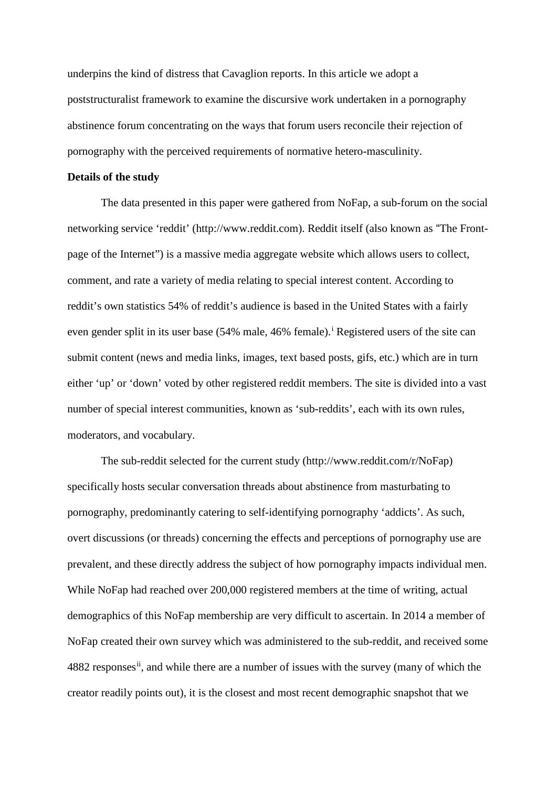underpins the kind of distress that Cavaglion reports. In this article we adopt a poststructuralist framework to examine the discursive work undertaken in a pornography abstinence forum concentrating on the ways that forum users reconcile their rejection of pornography with the perceived requirements of normative hetero-masculinity.

## **Details of the study**

The data presented in this paper were gathered from NoFap, a sub-forum on the social networking service 'reddit' (http://www.reddit.com). Reddit itself (also known as "The Frontpage of the Internet") is a massive media aggregate website which allows users to collect, comment, and rate a variety of media relating to special interest content. According to reddit's own statistics 54% of reddit's audience is based in the United States with a fairly even gender spl[i](#page-2-0)t in its user base (54% male, 46% female).<sup>i</sup> Registered users of the site can submit content (news and media links, images, text based posts, gifs, etc.) which are in turn either 'up' or 'down' voted by other registered reddit members. The site is divided into a vast number of special interest communities, known as 'sub-reddits', each with its own rules, moderators, and vocabulary.

The sub-reddit selected for the current study (http://www.reddit.com/r/NoFap) specifically hosts secular conversation threads about abstinence from masturbating to pornography, predominantly catering to self-identifying pornography 'addicts'. As such, overt discussions (or threads) concerning the effects and perceptions of pornography use are prevalent, and these directly address the subject of how pornography impacts individual men. While NoFap had reached over 200,000 registered members at the time of writing, actual demographics of this NoFap membership are very difficult to ascertain. In 2014 a member of NoFap created their own survey which was administered to the sub-reddit, and received some 4882 responses<sup>ii</sup>, and while there are a number of issues with the survey (many of which the creator readily points out), it is the closest and most recent demographic snapshot that we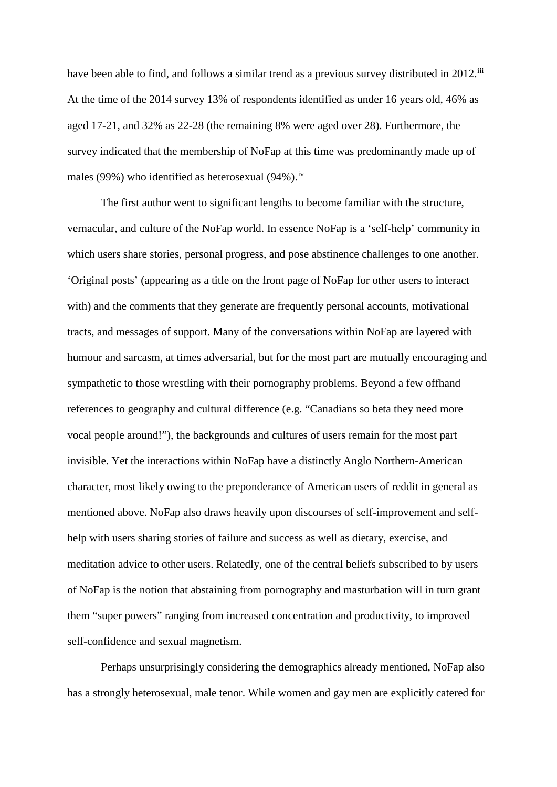have been able to find, and follows a similar trend as a previous survey distributed in 2012.<sup>[iii](#page-2-2)</sup> At the time of the 2014 survey 13% of respondents identified as under 16 years old, 46% as aged 17-21, and 32% as 22-28 (the remaining 8% were aged over 28). Furthermore, the survey indicated that the membership of NoFap at this time was predominantly made up of males (99%) who identified as heterosexual (94%).<sup>[iv](#page-2-3)</sup>

The first author went to significant lengths to become familiar with the structure, vernacular, and culture of the NoFap world. In essence NoFap is a 'self-help' community in which users share stories, personal progress, and pose abstinence challenges to one another. 'Original posts' (appearing as a title on the front page of NoFap for other users to interact with) and the comments that they generate are frequently personal accounts, motivational tracts, and messages of support. Many of the conversations within NoFap are layered with humour and sarcasm, at times adversarial, but for the most part are mutually encouraging and sympathetic to those wrestling with their pornography problems. Beyond a few offhand references to geography and cultural difference (e.g. "Canadians so beta they need more vocal people around!"), the backgrounds and cultures of users remain for the most part invisible. Yet the interactions within NoFap have a distinctly Anglo Northern-American character, most likely owing to the preponderance of American users of reddit in general as mentioned above. NoFap also draws heavily upon discourses of self-improvement and selfhelp with users sharing stories of failure and success as well as dietary, exercise, and meditation advice to other users. Relatedly, one of the central beliefs subscribed to by users of NoFap is the notion that abstaining from pornography and masturbation will in turn grant them "super powers" ranging from increased concentration and productivity, to improved self-confidence and sexual magnetism.

Perhaps unsurprisingly considering the demographics already mentioned, NoFap also has a strongly heterosexual, male tenor. While women and gay men are explicitly catered for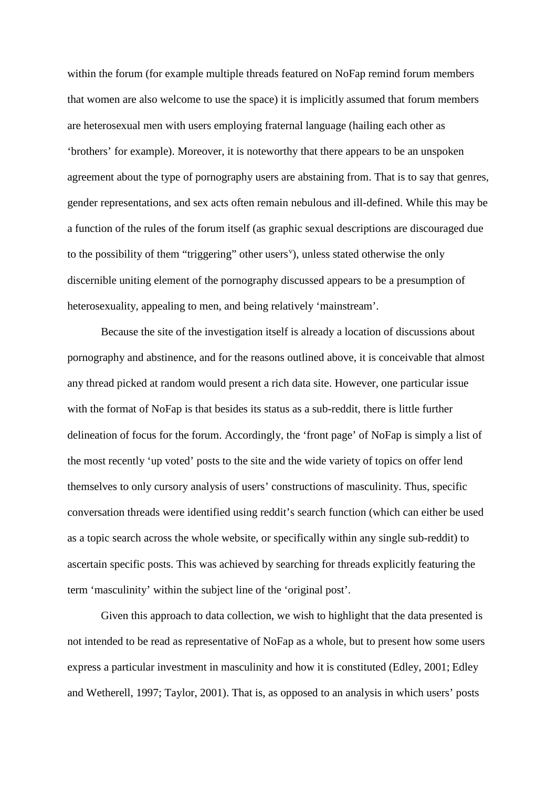within the forum (for example multiple threads featured on NoFap remind forum members that women are also welcome to use the space) it is implicitly assumed that forum members are heterosexual men with users employing fraternal language (hailing each other as 'brothers' for example). Moreover, it is noteworthy that there appears to be an unspoken agreement about the type of pornography users are abstaining from. That is to say that genres, gender representations, and sex acts often remain nebulous and ill-defined. While this may be a function of the rules of the forum itself (as graphic sexual descriptions are discouraged due to the possibility of them "triggering" other users"), unless stated otherwise the only discernible uniting element of the pornography discussed appears to be a presumption of heterosexuality, appealing to men, and being relatively 'mainstream'.

Because the site of the investigation itself is already a location of discussions about pornography and abstinence, and for the reasons outlined above, it is conceivable that almost any thread picked at random would present a rich data site. However, one particular issue with the format of NoFap is that besides its status as a sub-reddit, there is little further delineation of focus for the forum. Accordingly, the 'front page' of NoFap is simply a list of the most recently 'up voted' posts to the site and the wide variety of topics on offer lend themselves to only cursory analysis of users' constructions of masculinity. Thus, specific conversation threads were identified using reddit's search function (which can either be used as a topic search across the whole website, or specifically within any single sub-reddit) to ascertain specific posts. This was achieved by searching for threads explicitly featuring the term 'masculinity' within the subject line of the 'original post'.

Given this approach to data collection, we wish to highlight that the data presented is not intended to be read as representative of NoFap as a whole, but to present how some users express a particular investment in masculinity and how it is constituted (Edley, 2001; Edley and Wetherell, 1997; Taylor, 2001). That is, as opposed to an analysis in which users' posts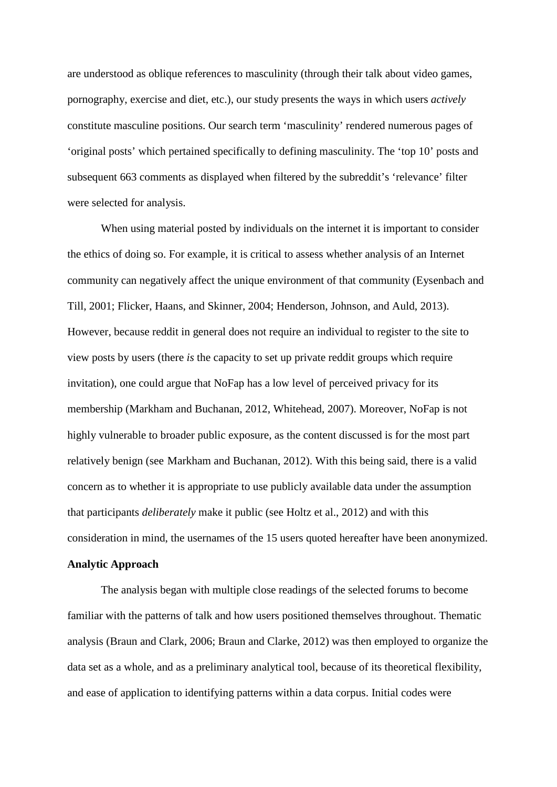are understood as oblique references to masculinity (through their talk about video games, pornography, exercise and diet, etc.), our study presents the ways in which users *actively*  constitute masculine positions. Our search term 'masculinity' rendered numerous pages of 'original posts' which pertained specifically to defining masculinity. The 'top 10' posts and subsequent 663 comments as displayed when filtered by the subreddit's 'relevance' filter were selected for analysis.

When using material posted by individuals on the internet it is important to consider the ethics of doing so. For example, it is critical to assess whether analysis of an Internet community can negatively affect the unique environment of that community (Eysenbach and Till, 2001; Flicker, Haans, and Skinner, 2004; Henderson, Johnson, and Auld, 2013). However, because reddit in general does not require an individual to register to the site to view posts by users (there *is* the capacity to set up private reddit groups which require invitation), one could argue that NoFap has a low level of perceived privacy for its membership (Markham and Buchanan, 2012, Whitehead, 2007). Moreover, NoFap is not highly vulnerable to broader public exposure, as the content discussed is for the most part relatively benign (see Markham and Buchanan, 2012). With this being said, there is a valid concern as to whether it is appropriate to use publicly available data under the assumption that participants *deliberately* make it public (see Holtz et al., 2012) and with this consideration in mind, the usernames of the 15 users quoted hereafter have been anonymized.

#### **Analytic Approach**

The analysis began with multiple close readings of the selected forums to become familiar with the patterns of talk and how users positioned themselves throughout. Thematic analysis (Braun and Clark, 2006; Braun and Clarke, 2012) was then employed to organize the data set as a whole, and as a preliminary analytical tool, because of its theoretical flexibility, and ease of application to identifying patterns within a data corpus. Initial codes were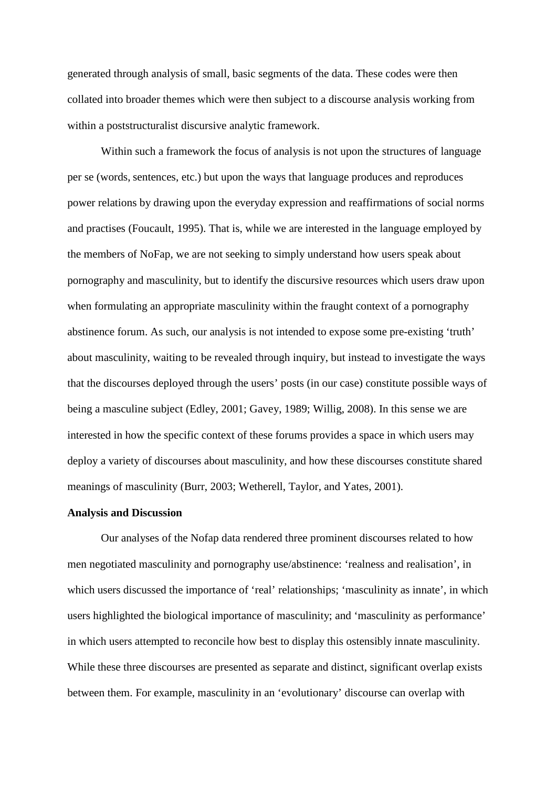generated through analysis of small, basic segments of the data. These codes were then collated into broader themes which were then subject to a discourse analysis working from within a poststructuralist discursive analytic framework.

Within such a framework the focus of analysis is not upon the structures of language per se (words, sentences, etc.) but upon the ways that language produces and reproduces power relations by drawing upon the everyday expression and reaffirmations of social norms and practises (Foucault, 1995). That is, while we are interested in the language employed by the members of NoFap, we are not seeking to simply understand how users speak about pornography and masculinity, but to identify the discursive resources which users draw upon when formulating an appropriate masculinity within the fraught context of a pornography abstinence forum. As such, our analysis is not intended to expose some pre-existing 'truth' about masculinity, waiting to be revealed through inquiry, but instead to investigate the ways that the discourses deployed through the users' posts (in our case) constitute possible ways of being a masculine subject (Edley, 2001; Gavey, 1989; Willig, 2008). In this sense we are interested in how the specific context of these forums provides a space in which users may deploy a variety of discourses about masculinity, and how these discourses constitute shared meanings of masculinity (Burr, 2003; Wetherell, Taylor, and Yates, 2001).

## **Analysis and Discussion**

Our analyses of the Nofap data rendered three prominent discourses related to how men negotiated masculinity and pornography use/abstinence: 'realness and realisation', in which users discussed the importance of 'real' relationships; 'masculinity as innate', in which users highlighted the biological importance of masculinity; and 'masculinity as performance' in which users attempted to reconcile how best to display this ostensibly innate masculinity. While these three discourses are presented as separate and distinct, significant overlap exists between them. For example, masculinity in an 'evolutionary' discourse can overlap with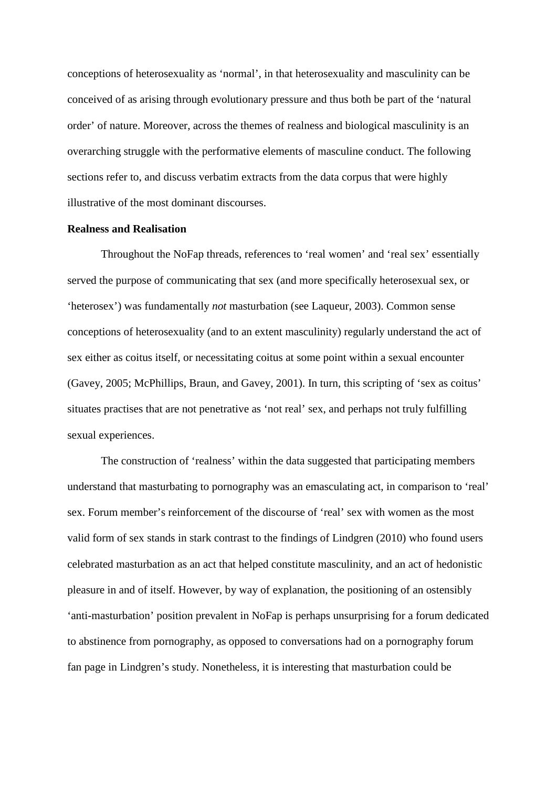conceptions of heterosexuality as 'normal', in that heterosexuality and masculinity can be conceived of as arising through evolutionary pressure and thus both be part of the 'natural order' of nature. Moreover, across the themes of realness and biological masculinity is an overarching struggle with the performative elements of masculine conduct. The following sections refer to, and discuss verbatim extracts from the data corpus that were highly illustrative of the most dominant discourses.

### **Realness and Realisation**

Throughout the NoFap threads, references to 'real women' and 'real sex' essentially served the purpose of communicating that sex (and more specifically heterosexual sex, or 'heterosex') was fundamentally *not* masturbation (see Laqueur, 2003). Common sense conceptions of heterosexuality (and to an extent masculinity) regularly understand the act of sex either as coitus itself, or necessitating coitus at some point within a sexual encounter (Gavey, 2005; McPhillips, Braun, and Gavey, 2001). In turn, this scripting of 'sex as coitus' situates practises that are not penetrative as 'not real' sex, and perhaps not truly fulfilling sexual experiences.

The construction of 'realness' within the data suggested that participating members understand that masturbating to pornography was an emasculating act, in comparison to 'real' sex. Forum member's reinforcement of the discourse of 'real' sex with women as the most valid form of sex stands in stark contrast to the findings of Lindgren (2010) who found users celebrated masturbation as an act that helped constitute masculinity, and an act of hedonistic pleasure in and of itself. However, by way of explanation, the positioning of an ostensibly 'anti-masturbation' position prevalent in NoFap is perhaps unsurprising for a forum dedicated to abstinence from pornography, as opposed to conversations had on a pornography forum fan page in Lindgren's study. Nonetheless, it is interesting that masturbation could be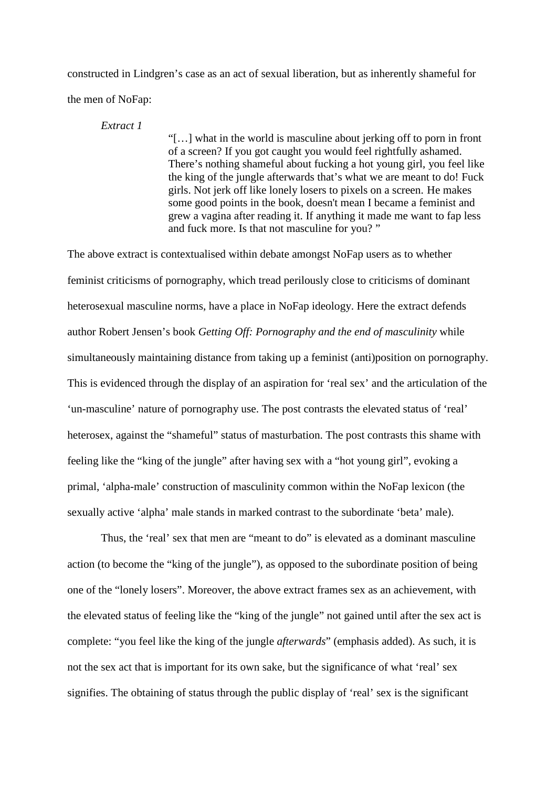constructed in Lindgren's case as an act of sexual liberation, but as inherently shameful for the men of NoFap:

*Extract 1*

"[…] what in the world is masculine about jerking off to porn in front of a screen? If you got caught you would feel rightfully ashamed. There's nothing shameful about fucking a hot young girl, you feel like the king of the jungle afterwards that's what we are meant to do! Fuck girls. Not jerk off like lonely losers to pixels on a screen. He makes some good points in the book, doesn't mean I became a feminist and grew a vagina after reading it. If anything it made me want to fap less and fuck more. Is that not masculine for you? "

The above extract is contextualised within debate amongst NoFap users as to whether feminist criticisms of pornography, which tread perilously close to criticisms of dominant heterosexual masculine norms, have a place in NoFap ideology. Here the extract defends author Robert Jensen's book *Getting Off: Pornography and the end of masculinity* while simultaneously maintaining distance from taking up a feminist (anti)position on pornography. This is evidenced through the display of an aspiration for 'real sex' and the articulation of the 'un-masculine' nature of pornography use. The post contrasts the elevated status of 'real' heterosex, against the "shameful" status of masturbation. The post contrasts this shame with feeling like the "king of the jungle" after having sex with a "hot young girl", evoking a primal, 'alpha-male' construction of masculinity common within the NoFap lexicon (the sexually active 'alpha' male stands in marked contrast to the subordinate 'beta' male).

Thus, the 'real' sex that men are "meant to do" is elevated as a dominant masculine action (to become the "king of the jungle"), as opposed to the subordinate position of being one of the "lonely losers". Moreover, the above extract frames sex as an achievement, with the elevated status of feeling like the "king of the jungle" not gained until after the sex act is complete: "you feel like the king of the jungle *afterwards*" (emphasis added). As such, it is not the sex act that is important for its own sake, but the significance of what 'real' sex signifies. The obtaining of status through the public display of 'real' sex is the significant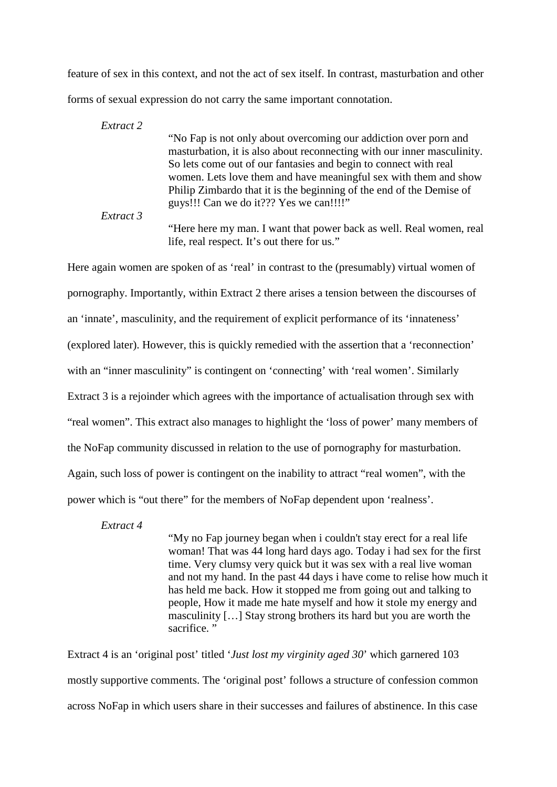feature of sex in this context, and not the act of sex itself. In contrast, masturbation and other forms of sexual expression do not carry the same important connotation.

*Extract 2* "No Fap is not only about overcoming our addiction over porn and masturbation, it is also about reconnecting with our inner masculinity. So lets come out of our fantasies and begin to connect with real women. Lets love them and have meaningful sex with them and show Philip Zimbardo that it is the beginning of the end of the Demise of guys!!! Can we do it??? Yes we can!!!!" *Extract 3* "Here here my man. I want that power back as well. Real women, real life, real respect. It's out there for us."

Here again women are spoken of as 'real' in contrast to the (presumably) virtual women of pornography. Importantly, within Extract 2 there arises a tension between the discourses of an 'innate', masculinity, and the requirement of explicit performance of its 'innateness' (explored later). However, this is quickly remedied with the assertion that a 'reconnection' with an "inner masculinity" is contingent on 'connecting' with 'real women'. Similarly Extract 3 is a rejoinder which agrees with the importance of actualisation through sex with "real women". This extract also manages to highlight the 'loss of power' many members of the NoFap community discussed in relation to the use of pornography for masturbation. Again, such loss of power is contingent on the inability to attract "real women", with the power which is "out there" for the members of NoFap dependent upon 'realness'.

*Extract 4*

"My no Fap journey began when i couldn't stay erect for a real life woman! That was 44 long hard days ago. Today i had sex for the first time. Very clumsy very quick but it was sex with a real live woman and not my hand. In the past 44 days i have come to relise how much it has held me back. How it stopped me from going out and talking to people, How it made me hate myself and how it stole my energy and masculinity […] Stay strong brothers its hard but you are worth the sacrifice."

Extract 4 is an 'original post' titled '*Just lost my virginity aged 30*' which garnered 103 mostly supportive comments. The 'original post' follows a structure of confession common across NoFap in which users share in their successes and failures of abstinence. In this case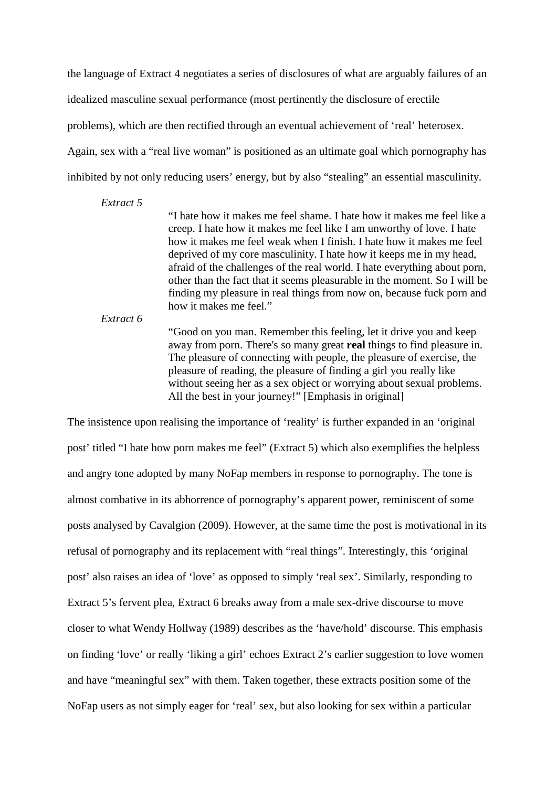the language of Extract 4 negotiates a series of disclosures of what are arguably failures of an idealized masculine sexual performance (most pertinently the disclosure of erectile problems), which are then rectified through an eventual achievement of 'real' heterosex. Again, sex with a "real live woman" is positioned as an ultimate goal which pornography has inhibited by not only reducing users' energy, but by also "stealing" an essential masculinity.

#### *Extract 5*

"I hate how it makes me feel shame. I hate how it makes me feel like a creep. I hate how it makes me feel like I am unworthy of love. I hate how it makes me feel weak when I finish. I hate how it makes me feel deprived of my core masculinity. I hate how it keeps me in my head, afraid of the challenges of the real world. I hate everything about porn, other than the fact that it seems pleasurable in the moment. So I will be finding my pleasure in real things from now on, because fuck porn and how it makes me feel."

*Extract 6*

"Good on you man. Remember this feeling, let it drive you and keep away from porn. There's so many great **real** things to find pleasure in. The pleasure of connecting with people, the pleasure of exercise, the pleasure of reading, the pleasure of finding a girl you really like without seeing her as a sex object or worrying about sexual problems. All the best in your journey!" [Emphasis in original]

The insistence upon realising the importance of 'reality' is further expanded in an 'original post' titled "I hate how porn makes me feel" (Extract 5) which also exemplifies the helpless and angry tone adopted by many NoFap members in response to pornography. The tone is almost combative in its abhorrence of pornography's apparent power, reminiscent of some posts analysed by Cavalgion (2009). However, at the same time the post is motivational in its refusal of pornography and its replacement with "real things". Interestingly, this 'original post' also raises an idea of 'love' as opposed to simply 'real sex'. Similarly, responding to Extract 5's fervent plea, Extract 6 breaks away from a male sex-drive discourse to move closer to what Wendy Hollway (1989) describes as the 'have/hold' discourse. This emphasis on finding 'love' or really 'liking a girl' echoes Extract 2's earlier suggestion to love women and have "meaningful sex" with them. Taken together, these extracts position some of the NoFap users as not simply eager for 'real' sex, but also looking for sex within a particular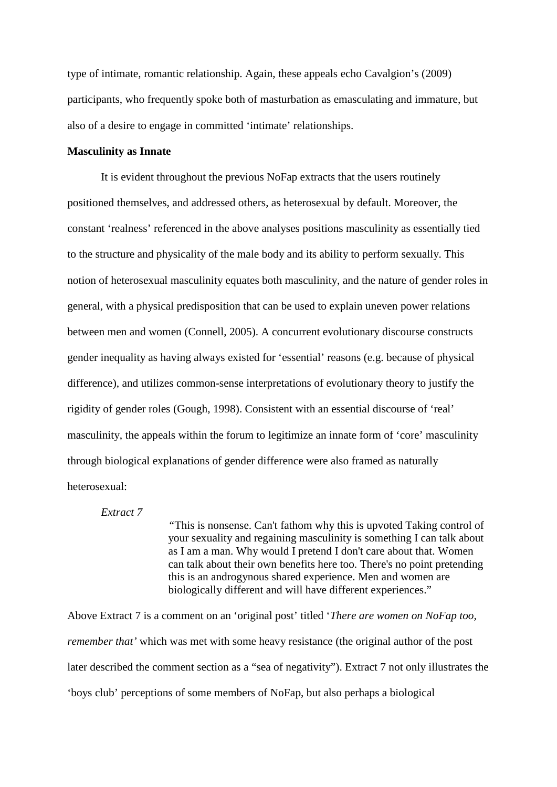type of intimate, romantic relationship. Again, these appeals echo Cavalgion's (2009) participants, who frequently spoke both of masturbation as emasculating and immature, but also of a desire to engage in committed 'intimate' relationships.

## **Masculinity as Innate**

It is evident throughout the previous NoFap extracts that the users routinely positioned themselves, and addressed others, as heterosexual by default. Moreover, the constant 'realness' referenced in the above analyses positions masculinity as essentially tied to the structure and physicality of the male body and its ability to perform sexually. This notion of heterosexual masculinity equates both masculinity, and the nature of gender roles in general, with a physical predisposition that can be used to explain uneven power relations between men and women (Connell, 2005). A concurrent evolutionary discourse constructs gender inequality as having always existed for 'essential' reasons (e.g. because of physical difference), and utilizes common-sense interpretations of evolutionary theory to justify the rigidity of gender roles (Gough, 1998). Consistent with an essential discourse of 'real' masculinity, the appeals within the forum to legitimize an innate form of 'core' masculinity through biological explanations of gender difference were also framed as naturally heterosexual:

## *Extract 7*

*"*This is nonsense. Can't fathom why this is upvoted Taking control of your sexuality and regaining masculinity is something I can talk about as I am a man. Why would I pretend I don't care about that. Women can talk about their own benefits here too. There's no point pretending this is an androgynous shared experience. Men and women are biologically different and will have different experiences."

Above Extract 7 is a comment on an 'original post' titled '*There are women on NoFap too, remember that'* which was met with some heavy resistance (the original author of the post later described the comment section as a "sea of negativity"). Extract 7 not only illustrates the 'boys club' perceptions of some members of NoFap, but also perhaps a biological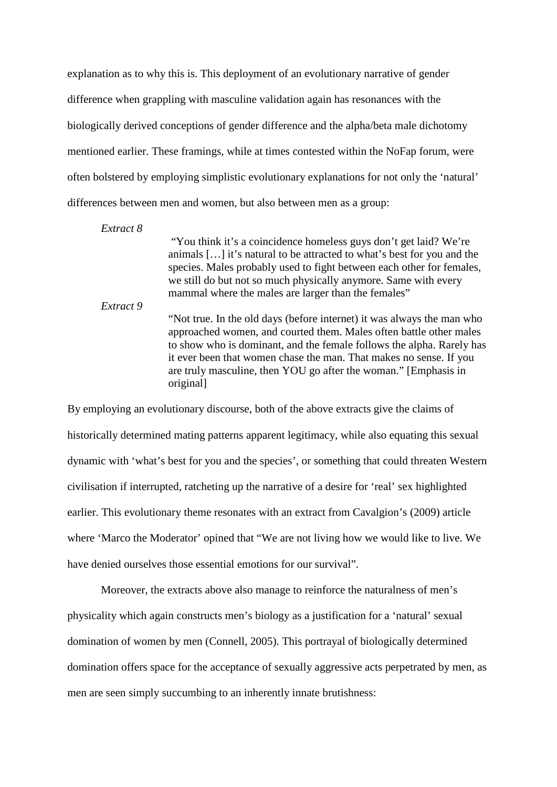explanation as to why this is. This deployment of an evolutionary narrative of gender difference when grappling with masculine validation again has resonances with the biologically derived conceptions of gender difference and the alpha/beta male dichotomy mentioned earlier. These framings, while at times contested within the NoFap forum, were often bolstered by employing simplistic evolutionary explanations for not only the 'natural' differences between men and women, but also between men as a group:

*Extract 8*

"You think it's a coincidence homeless guys don't get laid? We're animals […] it's natural to be attracted to what's best for you and the species. Males probably used to fight between each other for females, we still do but not so much physically anymore. Same with every mammal where the males are larger than the females"

*Extract 9*

"Not true. In the old days (before internet) it was always the man who approached women, and courted them. Males often battle other males to show who is dominant, and the female follows the alpha. Rarely has it ever been that women chase the man. That makes no sense. If you are truly masculine, then YOU go after the woman." [Emphasis in original]

By employing an evolutionary discourse, both of the above extracts give the claims of historically determined mating patterns apparent legitimacy, while also equating this sexual dynamic with 'what's best for you and the species', or something that could threaten Western civilisation if interrupted, ratcheting up the narrative of a desire for 'real' sex highlighted earlier. This evolutionary theme resonates with an extract from Cavalgion's (2009) article where 'Marco the Moderator' opined that "We are not living how we would like to live. We have denied ourselves those essential emotions for our survival".

Moreover, the extracts above also manage to reinforce the naturalness of men's physicality which again constructs men's biology as a justification for a 'natural' sexual domination of women by men (Connell, 2005). This portrayal of biologically determined domination offers space for the acceptance of sexually aggressive acts perpetrated by men, as men are seen simply succumbing to an inherently innate brutishness: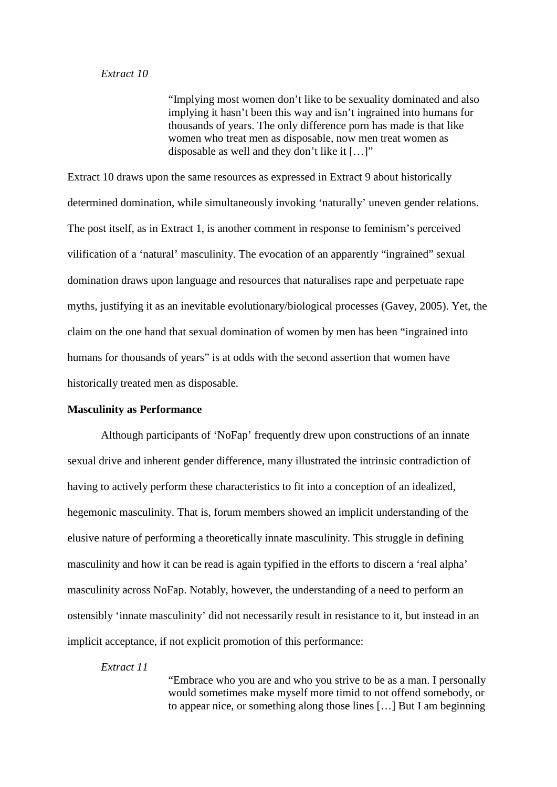#### *Extract 10*

"Implying most women don't like to be sexuality dominated and also implying it hasn't been this way and isn't ingrained into humans for thousands of years. The only difference porn has made is that like women who treat men as disposable, now men treat women as disposable as well and they don't like it […]"

Extract 10 draws upon the same resources as expressed in Extract 9 about historically determined domination, while simultaneously invoking 'naturally' uneven gender relations. The post itself, as in Extract 1, is another comment in response to feminism's perceived vilification of a 'natural' masculinity. The evocation of an apparently "ingrained" sexual domination draws upon language and resources that naturalises rape and perpetuate rape myths, justifying it as an inevitable evolutionary/biological processes (Gavey, 2005). Yet, the claim on the one hand that sexual domination of women by men has been "ingrained into humans for thousands of years" is at odds with the second assertion that women have historically treated men as disposable.

### **Masculinity as Performance**

Although participants of 'NoFap' frequently drew upon constructions of an innate sexual drive and inherent gender difference, many illustrated the intrinsic contradiction of having to actively perform these characteristics to fit into a conception of an idealized, hegemonic masculinity. That is, forum members showed an implicit understanding of the elusive nature of performing a theoretically innate masculinity. This struggle in defining masculinity and how it can be read is again typified in the efforts to discern a 'real alpha' masculinity across NoFap. Notably, however, the understanding of a need to perform an ostensibly 'innate masculinity' did not necessarily result in resistance to it, but instead in an implicit acceptance, if not explicit promotion of this performance:

#### *Extract 11*

"Embrace who you are and who you strive to be as a man. I personally would sometimes make myself more timid to not offend somebody, or to appear nice, or something along those lines […] But I am beginning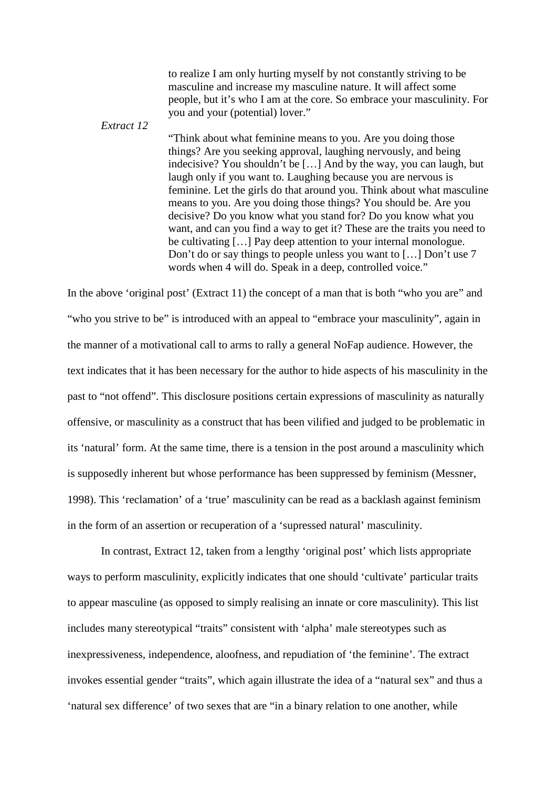to realize I am only hurting myself by not constantly striving to be masculine and increase my masculine nature. It will affect some people, but it's who I am at the core. So embrace your masculinity. For you and your (potential) lover."

"Think about what feminine means to you. Are you doing those things? Are you seeking approval, laughing nervously, and being indecisive? You shouldn't be […] And by the way, you can laugh, but laugh only if you want to. Laughing because you are nervous is feminine. Let the girls do that around you. Think about what masculine means to you. Are you doing those things? You should be. Are you decisive? Do you know what you stand for? Do you know what you want, and can you find a way to get it? These are the traits you need to be cultivating […] Pay deep attention to your internal monologue. Don't do or say things to people unless you want to […] Don't use 7 words when 4 will do. Speak in a deep, controlled voice."

In the above 'original post' (Extract 11) the concept of a man that is both "who you are" and "who you strive to be" is introduced with an appeal to "embrace your masculinity", again in the manner of a motivational call to arms to rally a general NoFap audience. However, the text indicates that it has been necessary for the author to hide aspects of his masculinity in the past to "not offend". This disclosure positions certain expressions of masculinity as naturally offensive, or masculinity as a construct that has been vilified and judged to be problematic in its 'natural' form. At the same time, there is a tension in the post around a masculinity which is supposedly inherent but whose performance has been suppressed by feminism (Messner, 1998). This 'reclamation' of a 'true' masculinity can be read as a backlash against feminism in the form of an assertion or recuperation of a 'supressed natural' masculinity.

*Extract 12*

In contrast, Extract 12, taken from a lengthy 'original post' which lists appropriate ways to perform masculinity, explicitly indicates that one should 'cultivate' particular traits to appear masculine (as opposed to simply realising an innate or core masculinity). This list includes many stereotypical "traits" consistent with 'alpha' male stereotypes such as inexpressiveness, independence, aloofness, and repudiation of 'the feminine'. The extract invokes essential gender "traits", which again illustrate the idea of a "natural sex" and thus a 'natural sex difference' of two sexes that are "in a binary relation to one another, while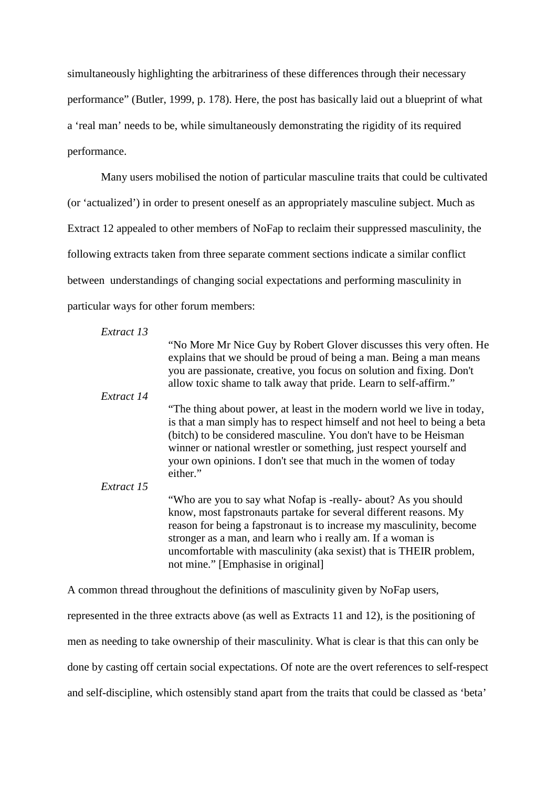simultaneously highlighting the arbitrariness of these differences through their necessary performance" (Butler, 1999, p. 178). Here, the post has basically laid out a blueprint of what a 'real man' needs to be, while simultaneously demonstrating the rigidity of its required performance.

Many users mobilised the notion of particular masculine traits that could be cultivated (or 'actualized') in order to present oneself as an appropriately masculine subject. Much as Extract 12 appealed to other members of NoFap to reclaim their suppressed masculinity, the following extracts taken from three separate comment sections indicate a similar conflict between understandings of changing social expectations and performing masculinity in particular ways for other forum members:

| Extract 13 |                                                                                                                                                                                                                                                                                                                                                                                         |
|------------|-----------------------------------------------------------------------------------------------------------------------------------------------------------------------------------------------------------------------------------------------------------------------------------------------------------------------------------------------------------------------------------------|
|            | "No More Mr Nice Guy by Robert Glover discusses this very often. He<br>explains that we should be proud of being a man. Being a man means<br>you are passionate, creative, you focus on solution and fixing. Don't<br>allow toxic shame to talk away that pride. Learn to self-affirm."                                                                                                 |
| Extract 14 |                                                                                                                                                                                                                                                                                                                                                                                         |
|            | "The thing about power, at least in the modern world we live in today,<br>is that a man simply has to respect himself and not heel to being a beta<br>(bitch) to be considered masculine. You don't have to be Heisman<br>winner or national wrestler or something, just respect yourself and<br>your own opinions. I don't see that much in the women of today<br>either."             |
| Extract 15 |                                                                                                                                                                                                                                                                                                                                                                                         |
|            | "Who are you to say what Nofap is -really- about? As you should<br>know, most fapstronauts partake for several different reasons. My<br>reason for being a fapstronaut is to increase my masculinity, become<br>stronger as a man, and learn who i really am. If a woman is<br>uncomfortable with masculinity (aka sexist) that is THEIR problem,<br>not mine." [Emphasise in original] |

A common thread throughout the definitions of masculinity given by NoFap users, represented in the three extracts above (as well as Extracts 11 and 12), is the positioning of men as needing to take ownership of their masculinity. What is clear is that this can only be done by casting off certain social expectations. Of note are the overt references to self-respect and self-discipline, which ostensibly stand apart from the traits that could be classed as 'beta'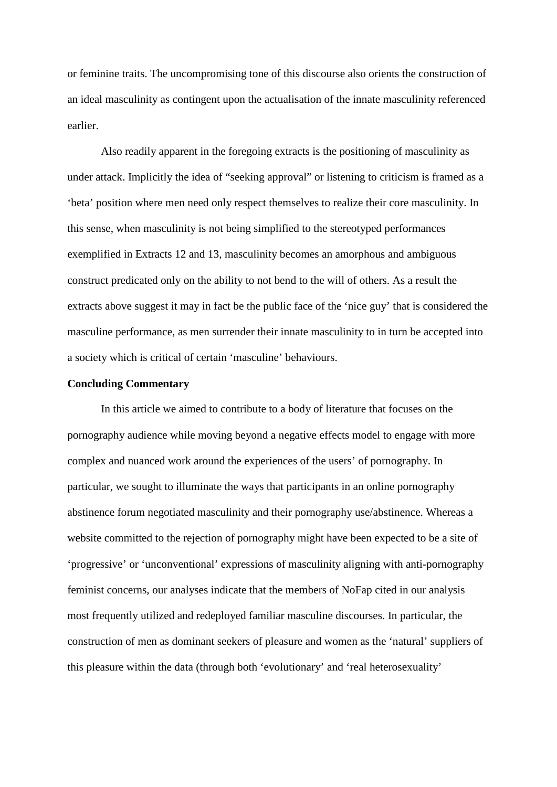or feminine traits. The uncompromising tone of this discourse also orients the construction of an ideal masculinity as contingent upon the actualisation of the innate masculinity referenced earlier.

Also readily apparent in the foregoing extracts is the positioning of masculinity as under attack. Implicitly the idea of "seeking approval" or listening to criticism is framed as a 'beta' position where men need only respect themselves to realize their core masculinity. In this sense, when masculinity is not being simplified to the stereotyped performances exemplified in Extracts 12 and 13, masculinity becomes an amorphous and ambiguous construct predicated only on the ability to not bend to the will of others. As a result the extracts above suggest it may in fact be the public face of the 'nice guy' that is considered the masculine performance, as men surrender their innate masculinity to in turn be accepted into a society which is critical of certain 'masculine' behaviours.

## **Concluding Commentary**

In this article we aimed to contribute to a body of literature that focuses on the pornography audience while moving beyond a negative effects model to engage with more complex and nuanced work around the experiences of the users' of pornography. In particular, we sought to illuminate the ways that participants in an online pornography abstinence forum negotiated masculinity and their pornography use/abstinence. Whereas a website committed to the rejection of pornography might have been expected to be a site of 'progressive' or 'unconventional' expressions of masculinity aligning with anti-pornography feminist concerns, our analyses indicate that the members of NoFap cited in our analysis most frequently utilized and redeployed familiar masculine discourses. In particular, the construction of men as dominant seekers of pleasure and women as the 'natural' suppliers of this pleasure within the data (through both 'evolutionary' and 'real heterosexuality'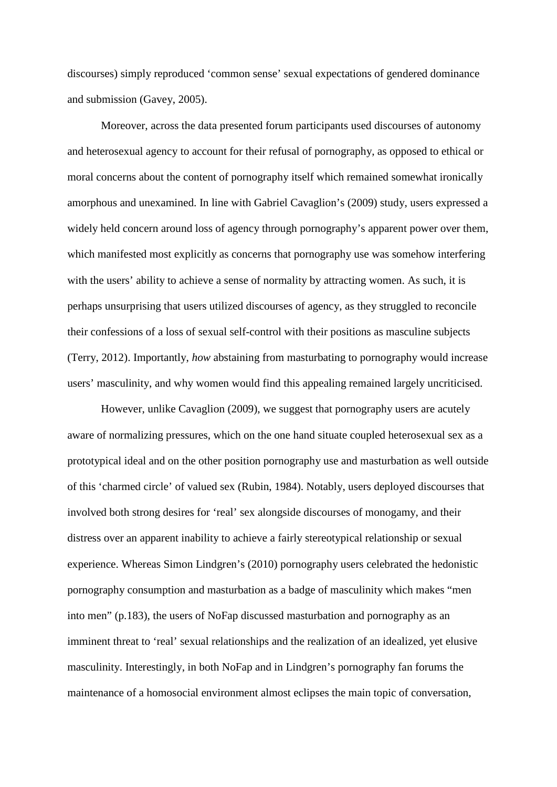discourses) simply reproduced 'common sense' sexual expectations of gendered dominance and submission (Gavey, 2005).

Moreover, across the data presented forum participants used discourses of autonomy and heterosexual agency to account for their refusal of pornography, as opposed to ethical or moral concerns about the content of pornography itself which remained somewhat ironically amorphous and unexamined. In line with Gabriel Cavaglion's (2009) study, users expressed a widely held concern around loss of agency through pornography's apparent power over them, which manifested most explicitly as concerns that pornography use was somehow interfering with the users' ability to achieve a sense of normality by attracting women. As such, it is perhaps unsurprising that users utilized discourses of agency, as they struggled to reconcile their confessions of a loss of sexual self-control with their positions as masculine subjects (Terry, 2012). Importantly, *how* abstaining from masturbating to pornography would increase users' masculinity, and why women would find this appealing remained largely uncriticised.

However, unlike Cavaglion (2009), we suggest that pornography users are acutely aware of normalizing pressures, which on the one hand situate coupled heterosexual sex as a prototypical ideal and on the other position pornography use and masturbation as well outside of this 'charmed circle' of valued sex (Rubin, 1984). Notably, users deployed discourses that involved both strong desires for 'real' sex alongside discourses of monogamy, and their distress over an apparent inability to achieve a fairly stereotypical relationship or sexual experience. Whereas Simon Lindgren's (2010) pornography users celebrated the hedonistic pornography consumption and masturbation as a badge of masculinity which makes "men into men" (p.183), the users of NoFap discussed masturbation and pornography as an imminent threat to 'real' sexual relationships and the realization of an idealized, yet elusive masculinity. Interestingly, in both NoFap and in Lindgren's pornography fan forums the maintenance of a homosocial environment almost eclipses the main topic of conversation,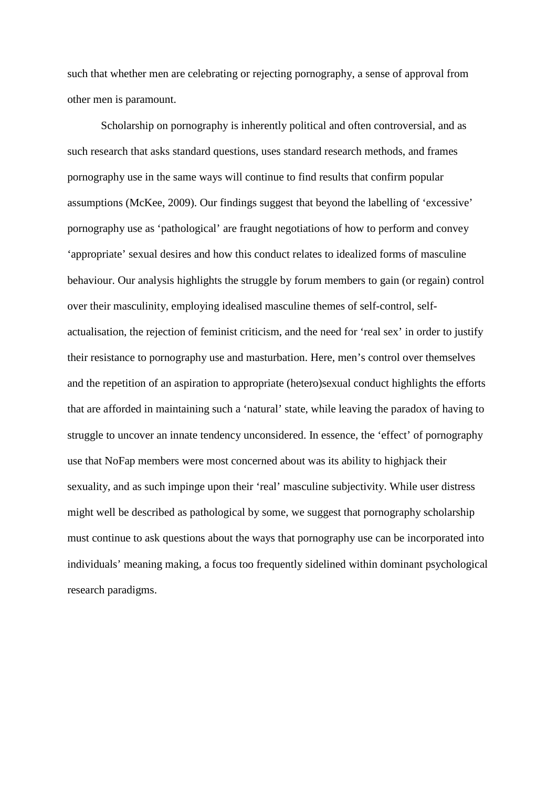such that whether men are celebrating or rejecting pornography, a sense of approval from other men is paramount.

Scholarship on pornography is inherently political and often controversial, and as such research that asks standard questions, uses standard research methods, and frames pornography use in the same ways will continue to find results that confirm popular assumptions (McKee, 2009). Our findings suggest that beyond the labelling of 'excessive' pornography use as 'pathological' are fraught negotiations of how to perform and convey 'appropriate' sexual desires and how this conduct relates to idealized forms of masculine behaviour. Our analysis highlights the struggle by forum members to gain (or regain) control over their masculinity, employing idealised masculine themes of self-control, selfactualisation, the rejection of feminist criticism, and the need for 'real sex' in order to justify their resistance to pornography use and masturbation. Here, men's control over themselves and the repetition of an aspiration to appropriate (hetero)sexual conduct highlights the efforts that are afforded in maintaining such a 'natural' state, while leaving the paradox of having to struggle to uncover an innate tendency unconsidered. In essence, the 'effect' of pornography use that NoFap members were most concerned about was its ability to highjack their sexuality, and as such impinge upon their 'real' masculine subjectivity. While user distress might well be described as pathological by some, we suggest that pornography scholarship must continue to ask questions about the ways that pornography use can be incorporated into individuals' meaning making, a focus too frequently sidelined within dominant psychological research paradigms.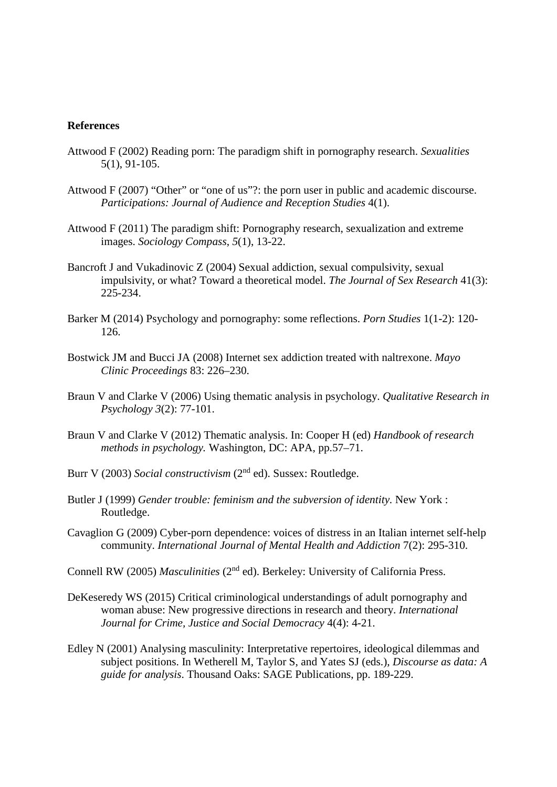#### **References**

- Attwood F (2002) Reading porn: The paradigm shift in pornography research. *Sexualities* 5(1), 91-105.
- Attwood F (2007) "Other" or "one of us"?: the porn user in public and academic discourse. *Participations: Journal of Audience and Reception Studies* 4(1).
- Attwood F (2011) The paradigm shift: Pornography research, sexualization and extreme images. *Sociology Compass*, *5*(1), 13-22.
- Bancroft J and Vukadinovic Z (2004) Sexual addiction, sexual compulsivity, sexual impulsivity, or what? Toward a theoretical model. *The Journal of Sex Research* 41(3): 225-234.
- Barker M (2014) Psychology and pornography: some reflections. *Porn Studies* 1(1-2): 120- 126.
- Bostwick JM and Bucci JA (2008) Internet sex addiction treated with naltrexone. *Mayo Clinic Proceedings* 83: 226–230.
- Braun V and Clarke V (2006) Using thematic analysis in psychology. *Qualitative Research in Psychology 3*(2): 77-101.
- Braun V and Clarke V (2012) Thematic analysis. In: Cooper H (ed) *Handbook of research methods in psychology.* Washington, DC: APA, pp.57–71.
- Burr V (2003) *Social constructivism* (2nd ed). Sussex: Routledge.
- Butler J (1999) *Gender trouble: feminism and the subversion of identity.* New York : Routledge.
- Cavaglion G (2009) Cyber-porn dependence: voices of distress in an Italian internet self-help community. *International Journal of Mental Health and Addiction* 7(2): 295-310.
- Connell RW (2005) *Masculinities* (2nd ed). Berkeley: University of California Press.
- DeKeseredy WS (2015) Critical criminological understandings of adult pornography and woman abuse: New progressive directions in research and theory. *International Journal for Crime, Justice and Social Democracy* 4(4): 4-21.
- Edley N (2001) Analysing masculinity: Interpretative repertoires, ideological dilemmas and subject positions. In Wetherell M, Taylor S, and Yates SJ (eds.), *Discourse as data: A guide for analysis*. Thousand Oaks: SAGE Publications, pp. 189-229.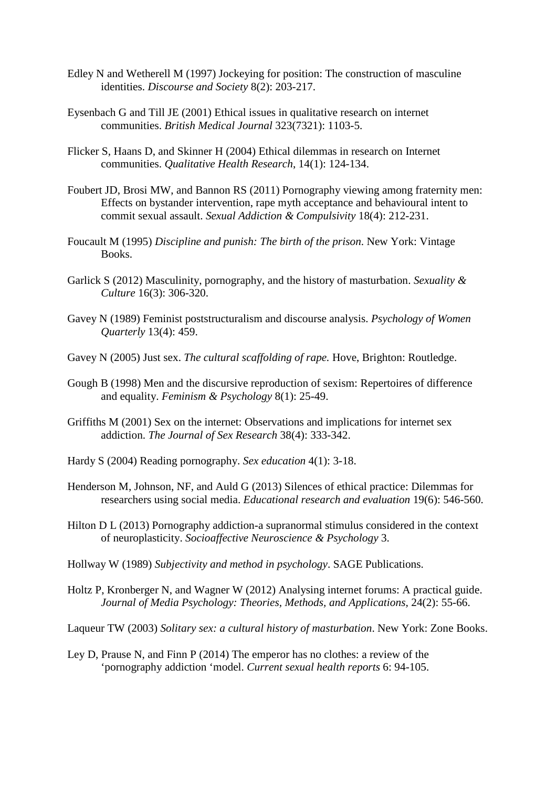- Edley N and Wetherell M (1997) Jockeying for position: The construction of masculine identities. *Discourse and Society* 8(2): 203-217.
- Eysenbach G and Till JE (2001) Ethical issues in qualitative research on internet communities. *British Medical Journal* 323(7321): 1103-5.
- Flicker S, Haans D, and Skinner H (2004) Ethical dilemmas in research on Internet communities. *Qualitative Health Research*, 14(1): 124-134.
- Foubert JD, Brosi MW, and Bannon RS (2011) Pornography viewing among fraternity men: Effects on bystander intervention, rape myth acceptance and behavioural intent to commit sexual assault. *Sexual Addiction & Compulsivity* 18(4): 212-231.
- Foucault M (1995) *Discipline and punish: The birth of the prison*. New York: Vintage Books.
- Garlick S (2012) Masculinity, pornography, and the history of masturbation. *Sexuality & Culture* 16(3): 306-320.
- Gavey N (1989) Feminist poststructuralism and discourse analysis. *Psychology of Women Quarterly* 13(4): 459.
- Gavey N (2005) Just sex. *The cultural scaffolding of rape.* Hove, Brighton: Routledge.
- Gough B (1998) Men and the discursive reproduction of sexism: Repertoires of difference and equality. *Feminism & Psychology* 8(1): 25-49.
- Griffiths M (2001) Sex on the internet: Observations and implications for internet sex addiction. *The Journal of Sex Research* 38(4): 333-342.
- Hardy S (2004) Reading pornography. *Sex education* 4(1): 3-18.
- Henderson M, Johnson, NF, and Auld G (2013) Silences of ethical practice: Dilemmas for researchers using social media. *Educational research and evaluation* 19(6): 546-560.
- Hilton D L (2013) Pornography addiction-a supranormal stimulus considered in the context of neuroplasticity. *Socioaffective Neuroscience & Psychology* 3.
- Hollway W (1989) *Subjectivity and method in psychology*. SAGE Publications.
- Holtz P, Kronberger N, and Wagner W (2012) Analysing internet forums: A practical guide. *Journal of Media Psychology: Theories, Methods, and Applications,* 24(2): 55-66.
- Laqueur TW (2003) *Solitary sex: a cultural history of masturbation*. New York: Zone Books.
- Ley D, Prause N, and Finn P (2014) The emperor has no clothes: a review of the 'pornography addiction 'model. *Current sexual health reports* 6: 94-105.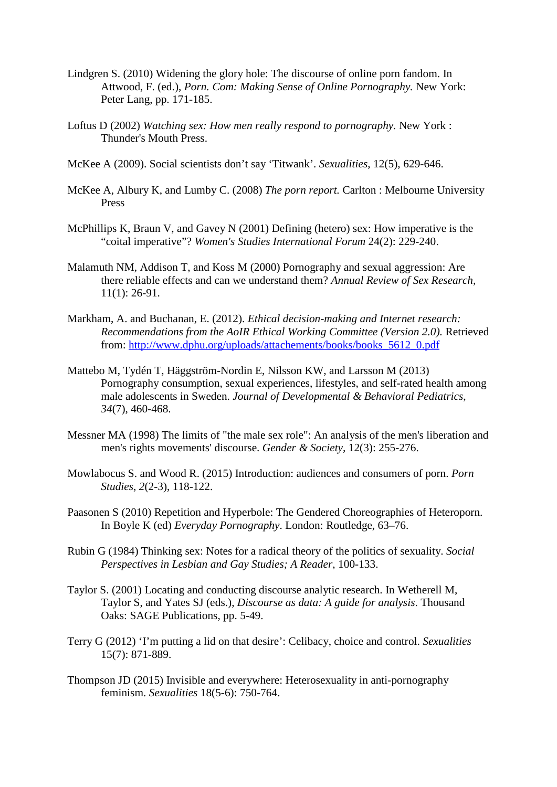- Lindgren S. (2010) Widening the glory hole: The discourse of online porn fandom. In Attwood, F. (ed.), *Porn. Com: Making Sense of Online Pornography.* New York: Peter Lang, pp. 171-185.
- Loftus D (2002) *Watching sex: How men really respond to pornography*. New York : Thunder's Mouth Press.
- McKee A (2009). Social scientists don't say 'Titwank'. *Sexualities*, 12(5), 629-646.
- McKee A, Albury K, and Lumby C. (2008) *The porn report.* Carlton : Melbourne University Press
- McPhillips K, Braun V, and Gavey N (2001) Defining (hetero) sex: How imperative is the "coital imperative"? *Women's Studies International Forum* 24(2): 229-240.
- Malamuth NM, Addison T, and Koss M (2000) Pornography and sexual aggression: Are there reliable effects and can we understand them? *Annual Review of Sex Research,*  11(1): 26-91.
- Markham, A. and Buchanan, E. (2012). *Ethical decision-making and Internet research: Recommendations from the AoIR Ethical Working Committee (Version 2.0).* Retrieved from: [http://www.dphu.org/uploads/attachements/books/books\\_5612\\_0.pdf](http://www.dphu.org/uploads/attachements/books/books_5612_0.pdf)
- Mattebo M, Tydén T, Häggström-Nordin E, Nilsson KW, and Larsson M (2013) Pornography consumption, sexual experiences, lifestyles, and self-rated health among male adolescents in Sweden. *Journal of Developmental & Behavioral Pediatrics*, *34*(7), 460-468.
- Messner MA (1998) The limits of "the male sex role": An analysis of the men's liberation and men's rights movements' discourse. *Gender & Society,* 12(3): 255-276.
- Mowlabocus S. and Wood R. (2015) Introduction: audiences and consumers of porn. *Porn Studies*, *2*(2-3), 118-122.
- Paasonen S (2010) Repetition and Hyperbole: The Gendered Choreographies of Heteroporn. In Boyle K (ed) *Everyday Pornography*. London: Routledge, 63–76.
- Rubin G (1984) Thinking sex: Notes for a radical theory of the politics of sexuality. *Social Perspectives in Lesbian and Gay Studies; A Reader*, 100-133.
- Taylor S. (2001) Locating and conducting discourse analytic research. In Wetherell M, Taylor S, and Yates SJ (eds.), *Discourse as data: A guide for analysis*. Thousand Oaks: SAGE Publications, pp. 5-49.
- Terry G (2012) 'I'm putting a lid on that desire': Celibacy, choice and control. *Sexualities* 15(7): 871-889.
- Thompson JD (2015) Invisible and everywhere: Heterosexuality in anti-pornography feminism. *Sexualities* 18(5-6): 750-764.